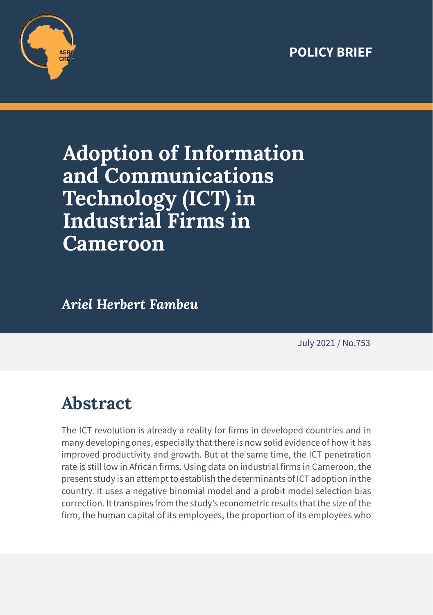### **POLICY BRIEF**



# **Adoption of Information and Communications Technology (ICT) in Industrial Firms in Cameroon**

*Ariel Herbert Fambeu*

July 2021 / No.753

## **Abstract**

The ICT revolution is already a reality for firms in developed countries and in many developing ones, especially that there is now solid evidence of how it has improved productivity and growth. But at the same time, the ICT penetration rate is still low in African firms. Using data on industrial firms in Cameroon, the present study is an attempt to establish the determinants of ICT adoption in the country. It uses a negative binomial model and a probit model selection bias correction. It transpires from the study's econometric results that the size of the firm, the human capital of its employees, the proportion of its employees who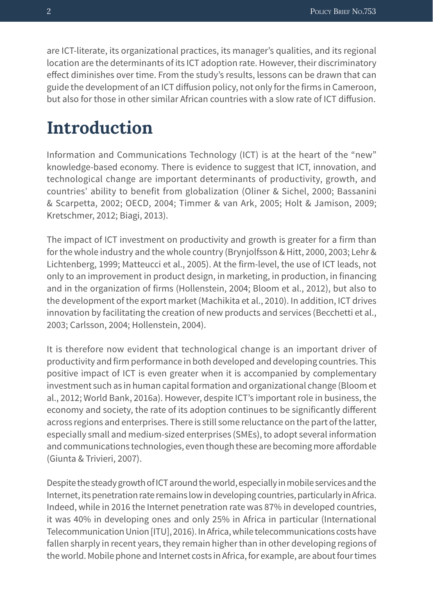are ICT-literate, its organizational practices, its manager's qualities, and its regional location are the determinants of its ICT adoption rate. However, their discriminatory effect diminishes over time. From the study's results, lessons can be drawn that can guide the development of an ICT diffusion policy, not only for the firms in Cameroon, but also for those in other similar African countries with a slow rate of ICT diffusion.

### **Introduction**

Information and Communications Technology (ICT) is at the heart of the "new" knowledge-based economy. There is evidence to suggest that ICT, innovation, and technological change are important determinants of productivity, growth, and countries' ability to benefit from globalization (Oliner & Sichel, 2000; Bassanini & Scarpetta, 2002; OECD, 2004; Timmer & van Ark, 2005; Holt & Jamison, 2009; Kretschmer, 2012; Biagi, 2013).

The impact of ICT investment on productivity and growth is greater for a firm than for the whole industry and the whole country (Brynjolfsson & Hitt, 2000, 2003; Lehr & Lichtenberg, 1999; Matteucci et al., 2005). At the firm-level, the use of ICT leads, not only to an improvement in product design, in marketing, in production, in financing and in the organization of firms (Hollenstein, 2004; Bloom et al., 2012), but also to the development of the export market (Machikita et al., 2010). In addition, ICT drives innovation by facilitating the creation of new products and services (Becchetti et al., 2003; Carlsson, 2004; Hollenstein, 2004).

It is therefore now evident that technological change is an important driver of productivity and firm performance in both developed and developing countries. This positive impact of ICT is even greater when it is accompanied by complementary investment such as in human capital formation and organizational change (Bloom et al., 2012; World Bank, 2016a). However, despite ICT's important role in business, the economy and society, the rate of its adoption continues to be significantly different across regions and enterprises. There is still some reluctance on the part of the latter, especially small and medium-sized enterprises (SMEs), to adopt several information and communications technologies, even though these are becoming more affordable (Giunta & Trivieri, 2007).

Despite the steady growth of ICT around the world, especially in mobile services and the Internet, its penetration rate remains low in developing countries, particularly in Africa. Indeed, while in 2016 the Internet penetration rate was 87% in developed countries, it was 40% in developing ones and only 25% in Africa in particular (International Telecommunication Union [ITU], 2016). In Africa, while telecommunications costs have fallen sharply in recent years, they remain higher than in other developing regions of the world. Mobile phone and Internet costs in Africa, for example, are about four times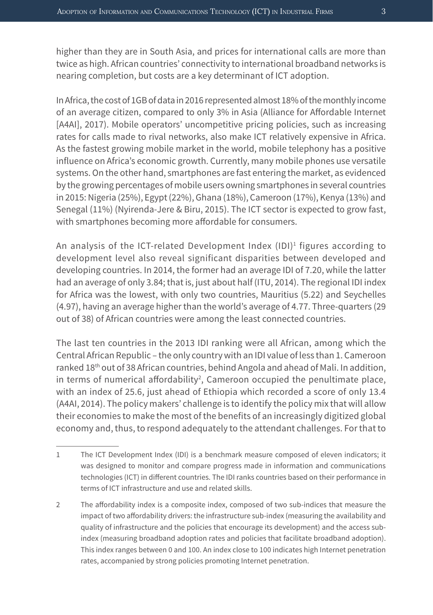higher than they are in South Asia, and prices for international calls are more than twice as high. African countries' connectivity to international broadband networks is nearing completion, but costs are a key determinant of ICT adoption.

In Africa, the cost of 1GB of data in 2016 represented almost 18% of the monthly income of an average citizen, compared to only 3% in Asia (Alliance for Affordable Internet [A4AI], 2017). Mobile operators' uncompetitive pricing policies, such as increasing rates for calls made to rival networks, also make ICT relatively expensive in Africa. As the fastest growing mobile market in the world, mobile telephony has a positive influence on Africa's economic growth. Currently, many mobile phones use versatile systems. On the other hand, smartphones are fast entering the market, as evidenced by the growing percentages of mobile users owning smartphones in several countries in 2015: Nigeria (25%), Egypt (22%), Ghana (18%), Cameroon (17%), Kenya (13%) and Senegal (11%) (Nyirenda-Jere & Biru, 2015). The ICT sector is expected to grow fast, with smartphones becoming more affordable for consumers.

An analysis of the ICT-related Development Index (IDI)<sup>1</sup> figures according to development level also reveal significant disparities between developed and developing countries. In 2014, the former had an average IDI of 7.20, while the latter had an average of only 3.84; that is, just about half (ITU, 2014). The regional IDI index for Africa was the lowest, with only two countries, Mauritius (5.22) and Seychelles (4.97), having an average higher than the world's average of 4.77. Three-quarters (29 out of 38) of African countries were among the least connected countries.

The last ten countries in the 2013 IDI ranking were all African, among which the Central African Republic – the only country with an IDI value of less than 1. Cameroon ranked 18<sup>th</sup> out of 38 African countries, behind Angola and ahead of Mali. In addition, in terms of numerical affordability<sup>2</sup>, Cameroon occupied the penultimate place, with an index of 25.6, just ahead of Ethiopia which recorded a score of only 13.4 (A4AI, 2014). The policy makers' challenge is to identify the policy mix that will allow their economies to make the most of the benefits of an increasingly digitized global economy and, thus, to respond adequately to the attendant challenges. For that to

<sup>1</sup> The ICT Development Index (IDI) is a benchmark measure composed of eleven indicators; it was designed to monitor and compare progress made in information and communications technologies (ICT) in different countries. The IDI ranks countries based on their performance in terms of ICT infrastructure and use and related skills.

<sup>2</sup> The affordability index is a composite index, composed of two sub-indices that measure the impact of two affordability drivers: the infrastructure sub-index (measuring the availability and quality of infrastructure and the policies that encourage its development) and the access subindex (measuring broadband adoption rates and policies that facilitate broadband adoption). This index ranges between 0 and 100. An index close to 100 indicates high Internet penetration rates, accompanied by strong policies promoting Internet penetration.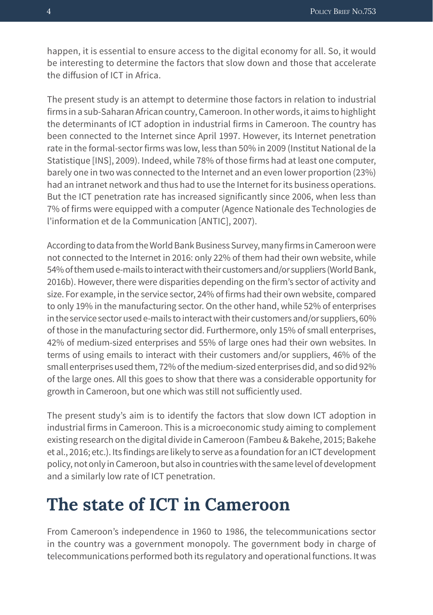happen, it is essential to ensure access to the digital economy for all. So, it would be interesting to determine the factors that slow down and those that accelerate the diffusion of ICT in Africa.

The present study is an attempt to determine those factors in relation to industrial firms in a sub-Saharan African country, Cameroon. In other words, it aims to highlight the determinants of ICT adoption in industrial firms in Cameroon. The country has been connected to the Internet since April 1997. However, its Internet penetration rate in the formal-sector firms was low, less than 50% in 2009 (Institut National de la Statistique [INS], 2009). Indeed, while 78% of those firms had at least one computer, barely one in two was connected to the Internet and an even lower proportion (23%) had an intranet network and thus had to use the Internet for its business operations. But the ICT penetration rate has increased significantly since 2006, when less than 7% of firms were equipped with a computer (Agence Nationale des Technologies de l'information et de la Communication [ANTIC], 2007).

According to data from the World Bank Business Survey, many firms in Cameroon were not connected to the Internet in 2016: only 22% of them had their own website, while 54% of them used e-mails to interact with their customers and/or suppliers (World Bank, 2016b). However, there were disparities depending on the firm's sector of activity and size. For example, in the service sector, 24% of firms had their own website, compared to only 19% in the manufacturing sector. On the other hand, while 52% of enterprises in the service sector used e-mails to interact with their customers and/or suppliers, 60% of those in the manufacturing sector did. Furthermore, only 15% of small enterprises, 42% of medium-sized enterprises and 55% of large ones had their own websites. In terms of using emails to interact with their customers and/or suppliers, 46% of the small enterprises used them, 72% of the medium-sized enterprises did, and so did 92% of the large ones. All this goes to show that there was a considerable opportunity for growth in Cameroon, but one which was still not sufficiently used.

The present study's aim is to identify the factors that slow down ICT adoption in industrial firms in Cameroon. This is a microeconomic study aiming to complement existing research on the digital divide in Cameroon (Fambeu & Bakehe, 2015; Bakehe et al., 2016; etc.). Its findings are likely to serve as a foundation for an ICT development policy, not only in Cameroon, but also in countries with the same level of development and a similarly low rate of ICT penetration.

### **The state of ICT in Cameroon**

From Cameroon's independence in 1960 to 1986, the telecommunications sector in the country was a government monopoly. The government body in charge of telecommunications performed both its regulatory and operational functions. It was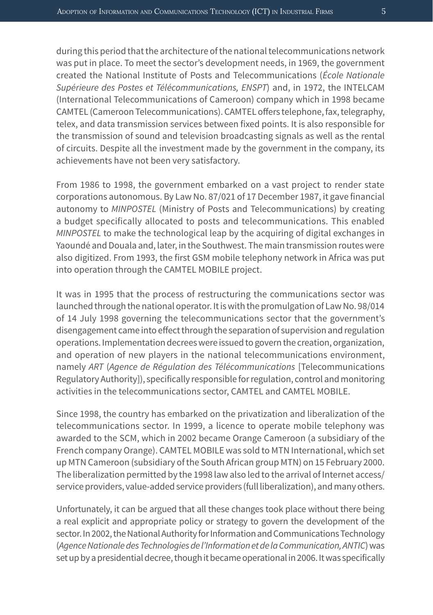during this period that the architecture of the national telecommunications network was put in place. To meet the sector's development needs, in 1969, the government created the National Institute of Posts and Telecommunications (*École Nationale Supérieure des Postes et Télécommunications, ENSPT*) and, in 1972, the INTELCAM (International Telecommunications of Cameroon) company which in 1998 became CAMTEL (Cameroon Telecommunications). CAMTEL offers telephone, fax, telegraphy, telex, and data transmission services between fixed points. It is also responsible for the transmission of sound and television broadcasting signals as well as the rental of circuits. Despite all the investment made by the government in the company, its achievements have not been very satisfactory.

From 1986 to 1998, the government embarked on a vast project to render state corporations autonomous. By Law No. 87/021 of 17 December 1987, it gave financial autonomy to *MINPOSTEL* (Ministry of Posts and Telecommunications) by creating a budget specifically allocated to posts and telecommunications. This enabled *MINPOSTEL* to make the technological leap by the acquiring of digital exchanges in Yaoundé and Douala and, later, in the Southwest. The main transmission routes were also digitized. From 1993, the first GSM mobile telephony network in Africa was put into operation through the CAMTEL MOBILE project.

It was in 1995 that the process of restructuring the communications sector was launched through the national operator. It is with the promulgation of Law No. 98/014 of 14 July 1998 governing the telecommunications sector that the government's disengagement came into effect through the separation of supervision and regulation operations. Implementation decrees were issued to govern the creation, organization, and operation of new players in the national telecommunications environment, namely *ART* (*Agence de Régulation des Télécommunications* [Telecommunications Regulatory Authority]), specifically responsible for regulation, control and monitoring activities in the telecommunications sector, CAMTEL and CAMTEL MOBILE.

Since 1998, the country has embarked on the privatization and liberalization of the telecommunications sector. In 1999, a licence to operate mobile telephony was awarded to the SCM, which in 2002 became Orange Cameroon (a subsidiary of the French company Orange). CAMTEL MOBILE was sold to MTN International, which set up MTN Cameroon (subsidiary of the South African group MTN) on 15 February 2000. The liberalization permitted by the 1998 law also led to the arrival of Internet access/ service providers, value-added service providers (full liberalization), and many others.

Unfortunately, it can be argued that all these changes took place without there being a real explicit and appropriate policy or strategy to govern the development of the sector. In 2002, the National Authority for Information and Communications Technology (*Agence Nationale des Technologies de l'Information et de la Communication, ANTIC*) was set up by a presidential decree, though it became operational in 2006. It was specifically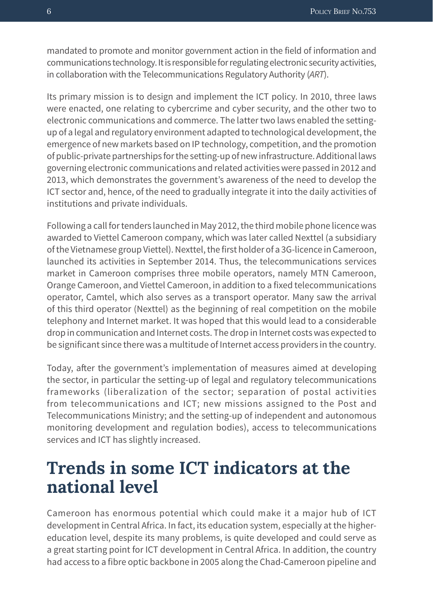mandated to promote and monitor government action in the field of information and communications technology. It is responsible for regulating electronic security activities, in collaboration with the Telecommunications Regulatory Authority (*ART*).

Its primary mission is to design and implement the ICT policy. In 2010, three laws were enacted, one relating to cybercrime and cyber security, and the other two to electronic communications and commerce. The latter two laws enabled the settingup of a legal and regulatory environment adapted to technological development, the emergence of new markets based on IP technology, competition, and the promotion of public-private partnerships for the setting-up of new infrastructure. Additional laws governing electronic communications and related activities were passed in 2012 and 2013, which demonstrates the government's awareness of the need to develop the ICT sector and, hence, of the need to gradually integrate it into the daily activities of institutions and private individuals.

Following a call for tenders launched in May 2012, the third mobile phone licence was awarded to Viettel Cameroon company, which was later called Nexttel (a subsidiary of the Vietnamese group Viettel). Nexttel, the first holder of a 3G-licence in Cameroon, launched its activities in September 2014. Thus, the telecommunications services market in Cameroon comprises three mobile operators, namely MTN Cameroon, Orange Cameroon, and Viettel Cameroon, in addition to a fixed telecommunications operator, Camtel, which also serves as a transport operator. Many saw the arrival of this third operator (Nexttel) as the beginning of real competition on the mobile telephony and Internet market. It was hoped that this would lead to a considerable drop in communication and Internet costs. The drop in Internet costs was expected to be significant since there was a multitude of Internet access providers in the country.

Today, after the government's implementation of measures aimed at developing the sector, in particular the setting-up of legal and regulatory telecommunications frameworks (liberalization of the sector; separation of postal activities from telecommunications and ICT; new missions assigned to the Post and Telecommunications Ministry; and the setting-up of independent and autonomous monitoring development and regulation bodies), access to telecommunications services and ICT has slightly increased.

### **Trends in some ICT indicators at the national level**

Cameroon has enormous potential which could make it a major hub of ICT development in Central Africa. In fact, its education system, especially at the highereducation level, despite its many problems, is quite developed and could serve as a great starting point for ICT development in Central Africa. In addition, the country had access to a fibre optic backbone in 2005 along the Chad-Cameroon pipeline and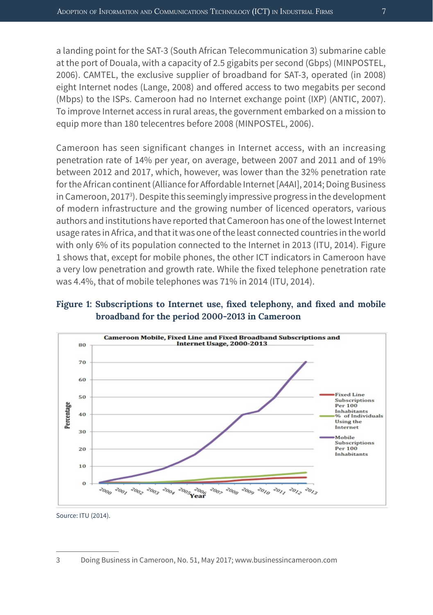a landing point for the SAT-3 (South African Telecommunication 3) submarine cable at the port of Douala, with a capacity of 2.5 gigabits per second (Gbps) (MINPOSTEL, 2006). CAMTEL, the exclusive supplier of broadband for SAT-3, operated (in 2008) eight Internet nodes (Lange, 2008) and offered access to two megabits per second (Mbps) to the ISPs. Cameroon had no Internet exchange point (IXP) (ANTIC, 2007). To improve Internet access in rural areas, the government embarked on a mission to equip more than 180 telecentres before 2008 (MINPOSTEL, 2006).

Cameroon has seen significant changes in Internet access, with an increasing penetration rate of 14% per year, on average, between 2007 and 2011 and of 19% between 2012 and 2017, which, however, was lower than the 32% penetration rate for the African continent (Alliance for Affordable Internet [A4AI], 2014; Doing Business in Cameroon, 2017<sup>3</sup>). Despite this seemingly impressive progress in the development of modern infrastructure and the growing number of licenced operators, various authors and institutions have reported that Cameroon has one of the lowest Internet usage rates in Africa, and that it was one of the least connected countries in the world with only 6% of its population connected to the Internet in 2013 (ITU, 2014). Figure 1 shows that, except for mobile phones, the other ICT indicators in Cameroon have a very low penetration and growth rate. While the fixed telephone penetration rate was 4.4%, that of mobile telephones was 71% in 2014 (ITU, 2014).

#### **Figure 1: Subscriptions to Internet use, fixed telephony, and fixed and mobile broadband for the period 2000-2013 in Cameroon**



Source: ITU (2014).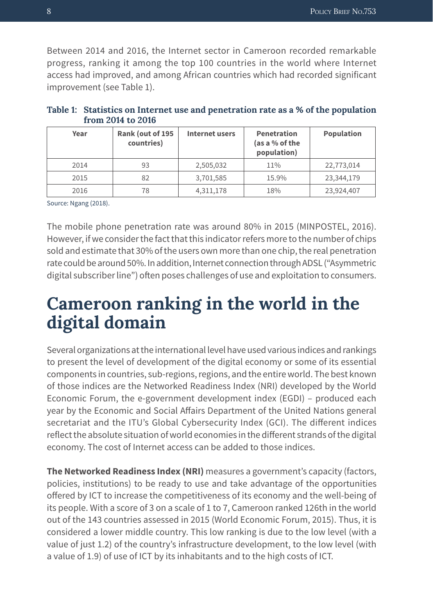Between 2014 and 2016, the Internet sector in Cameroon recorded remarkable progress, ranking it among the top 100 countries in the world where Internet access had improved, and among African countries which had recorded significant improvement (see Table 1).

| Year | Rank (out of 195<br>countries) | Internet users | <b>Penetration</b><br>(as a % of the<br>population) | <b>Population</b> |
|------|--------------------------------|----------------|-----------------------------------------------------|-------------------|
| 2014 | 93                             | 2,505,032      | 11%                                                 | 22,773,014        |
| 2015 | 82                             | 3,701,585      | 15.9%                                               | 23,344,179        |
| 2016 | 78                             | 4,311,178      | 18%                                                 | 23,924,407        |

| Table 1: Statistics on Internet use and penetration rate as a % of the population |
|-----------------------------------------------------------------------------------|
| from 2014 to 2016                                                                 |

Source: Ngang (2018).

The mobile phone penetration rate was around 80% in 2015 (MINPOSTEL, 2016). However, if we consider the fact that this indicator refers more to the number of chips sold and estimate that 30% of the users own more than one chip, the real penetration rate could be around 50%. In addition, Internet connection through ADSL ("Asymmetric digital subscriber line") often poses challenges of use and exploitation to consumers.

### **Cameroon ranking in the world in the digital domain**

Several organizations at the international level have used various indices and rankings to present the level of development of the digital economy or some of its essential components in countries, sub-regions, regions, and the entire world. The best known of those indices are the Networked Readiness Index (NRI) developed by the World Economic Forum, the e-government development index (EGDI) – produced each year by the Economic and Social Affairs Department of the United Nations general secretariat and the ITU's Global Cybersecurity Index (GCI). The different indices reflect the absolute situation of world economies in the different strands of the digital economy. The cost of Internet access can be added to those indices.

**The Networked Readiness Index (NRI)** measures a government's capacity (factors, policies, institutions) to be ready to use and take advantage of the opportunities offered by ICT to increase the competitiveness of its economy and the well-being of its people. With a score of 3 on a scale of 1 to 7, Cameroon ranked 126th in the world out of the 143 countries assessed in 2015 (World Economic Forum, 2015). Thus, it is considered a lower middle country. This low ranking is due to the low level (with a value of just 1.2) of the country's infrastructure development, to the low level (with a value of 1.9) of use of ICT by its inhabitants and to the high costs of ICT.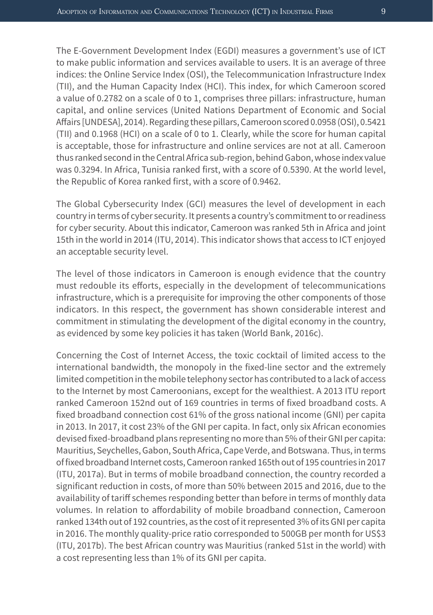The E-Government Development Index (EGDI) measures a government's use of ICT to make public information and services available to users. It is an average of three indices: the Online Service Index (OSI), the Telecommunication Infrastructure Index (TII), and the Human Capacity Index (HCI). This index, for which Cameroon scored a value of 0.2782 on a scale of 0 to 1, comprises three pillars: infrastructure, human capital, and online services (United Nations Department of Economic and Social Affairs [UNDESA], 2014). Regarding these pillars, Cameroon scored 0.0958 (OSI), 0.5421 (TII) and 0.1968 (HCI) on a scale of 0 to 1. Clearly, while the score for human capital is acceptable, those for infrastructure and online services are not at all. Cameroon thus ranked second in the Central Africa sub-region, behind Gabon, whose index value was 0.3294. In Africa, Tunisia ranked first, with a score of 0.5390. At the world level, the Republic of Korea ranked first, with a score of 0.9462.

The Global Cybersecurity Index (GCI) measures the level of development in each country in terms of cyber security. It presents a country's commitment to or readiness for cyber security. About this indicator, Cameroon was ranked 5th in Africa and joint 15th in the world in 2014 (ITU, 2014). This indicator shows that access to ICT enjoyed an acceptable security level.

The level of those indicators in Cameroon is enough evidence that the country must redouble its efforts, especially in the development of telecommunications infrastructure, which is a prerequisite for improving the other components of those indicators. In this respect, the government has shown considerable interest and commitment in stimulating the development of the digital economy in the country, as evidenced by some key policies it has taken (World Bank, 2016c).

Concerning the Cost of Internet Access, the toxic cocktail of limited access to the international bandwidth, the monopoly in the fixed-line sector and the extremely limited competition in the mobile telephony sector has contributed to a lack of access to the Internet by most Cameroonians, except for the wealthiest. A 2013 ITU report ranked Cameroon 152nd out of 169 countries in terms of fixed broadband costs. A fixed broadband connection cost 61% of the gross national income (GNI) per capita in 2013. In 2017, it cost 23% of the GNI per capita. In fact, only six African economies devised fixed-broadband plans representing no more than 5% of their GNI per capita: Mauritius, Seychelles, Gabon, South Africa, Cape Verde, and Botswana. Thus, in terms of fixed broadband Internet costs, Cameroon ranked 165th out of 195 countries in 2017 (ITU, 2017a). But in terms of mobile broadband connection, the country recorded a significant reduction in costs, of more than 50% between 2015 and 2016, due to the availability of tariff schemes responding better than before in terms of monthly data volumes. In relation to affordability of mobile broadband connection, Cameroon ranked 134th out of 192 countries, as the cost of it represented 3% of its GNI per capita in 2016. The monthly quality-price ratio corresponded to 500GB per month for US\$3 (ITU, 2017b). The best African country was Mauritius (ranked 51st in the world) with a cost representing less than 1% of its GNI per capita.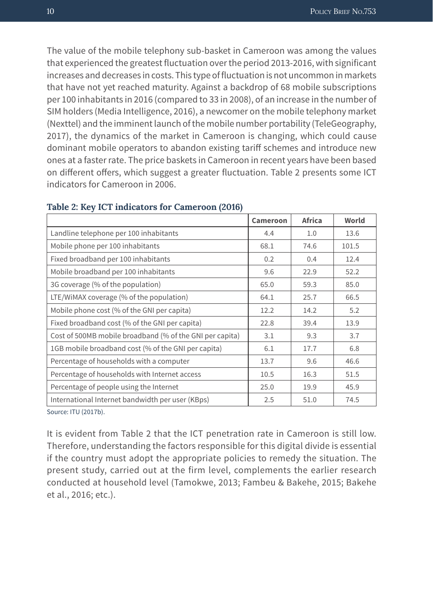The value of the mobile telephony sub-basket in Cameroon was among the values that experienced the greatest fluctuation over the period 2013-2016, with significant increases and decreases in costs. This type of fluctuation is not uncommon in markets that have not yet reached maturity. Against a backdrop of 68 mobile subscriptions per 100 inhabitants in 2016 (compared to 33 in 2008), of an increase in the number of SIM holders (Media Intelligence, 2016), a newcomer on the mobile telephony market (Nexttel) and the imminent launch of the mobile number portability (TeleGeography, 2017), the dynamics of the market in Cameroon is changing, which could cause dominant mobile operators to abandon existing tariff schemes and introduce new ones at a faster rate. The price baskets in Cameroon in recent years have been based on different offers, which suggest a greater fluctuation. Table 2 presents some ICT indicators for Cameroon in 2006.

|                                                          | <b>Cameroon</b> | <b>Africa</b> | World |
|----------------------------------------------------------|-----------------|---------------|-------|
| Landline telephone per 100 inhabitants                   | 4.4             | 1.0           | 13.6  |
| Mobile phone per 100 inhabitants                         | 68.1            | 74.6          | 101.5 |
| Fixed broadband per 100 inhabitants                      | 0.2             | 0.4           | 12.4  |
| Mobile broadband per 100 inhabitants                     | 9.6             | 22.9          | 52.2  |
| 3G coverage (% of the population)                        | 65.0            | 59.3          | 85.0  |
| LTE/WiMAX coverage (% of the population)                 | 64.1            | 25.7          | 66.5  |
| Mobile phone cost (% of the GNI per capita)              | 12.2            | 14.2          | 5.2   |
| Fixed broadband cost (% of the GNI per capita)           | 22.8            | 39.4          | 13.9  |
| Cost of 500MB mobile broadband (% of the GNI per capita) | 3.1             | 9.3           | 3.7   |
| 1GB mobile broadband cost (% of the GNI per capita)      | 6.1             | 17.7          | 6.8   |
| Percentage of households with a computer                 | 13.7            | 9.6           | 46.6  |
| Percentage of households with Internet access            | 10.5            | 16.3          | 51.5  |
| Percentage of people using the Internet                  | 25.0            | 19.9          | 45.9  |
| International Internet bandwidth per user (KBps)         | 2.5             | 51.0          | 74.5  |

#### **Table 2: Key ICT indicators for Cameroon (2016)**

Source: ITU (2017b).

It is evident from Table 2 that the ICT penetration rate in Cameroon is still low. Therefore, understanding the factors responsible for this digital divide is essential if the country must adopt the appropriate policies to remedy the situation. The present study, carried out at the firm level, complements the earlier research conducted at household level (Tamokwe, 2013; Fambeu & Bakehe, 2015; Bakehe et al., 2016; etc.).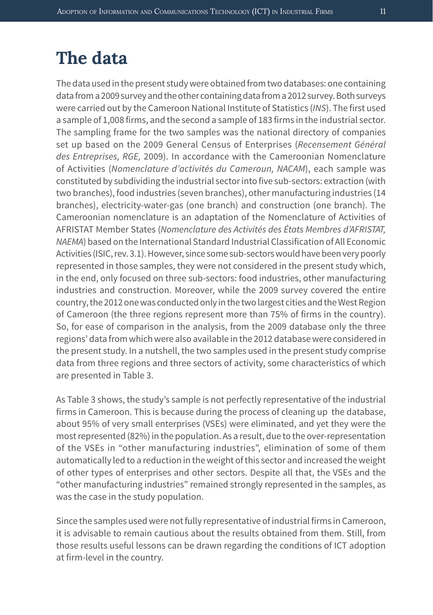### **The data**

The data used in the present study were obtained from two databases: one containing data from a 2009 survey and the other containing data from a 2012 survey. Both surveys were carried out by the Cameroon National Institute of Statistics (*INS*). The first used a sample of 1,008 firms, and the second a sample of 183 firms in the industrial sector. The sampling frame for the two samples was the national directory of companies set up based on the 2009 General Census of Enterprises (*Recensement Général des Entreprises, RGE,* 2009). In accordance with the Cameroonian Nomenclature of Activities (*Nomenclature d'activités du Cameroun, NACAM*), each sample was constituted by subdividing the industrial sector into five sub-sectors: extraction (with two branches), food industries (seven branches), other manufacturing industries (14 branches), electricity-water-gas (one branch) and construction (one branch). The Cameroonian nomenclature is an adaptation of the Nomenclature of Activities of AFRISTAT Member States (*Nomenclature des Activités des États Membres d'AFRISTAT, NAEMA*) based on the International Standard Industrial Classification of All Economic Activities (ISIC, rev. 3.1). However, since some sub-sectors would have been very poorly represented in those samples, they were not considered in the present study which, in the end, only focused on three sub-sectors: food industries, other manufacturing industries and construction. Moreover, while the 2009 survey covered the entire country, the 2012 one was conducted only in the two largest cities and the West Region of Cameroon (the three regions represent more than 75% of firms in the country). So, for ease of comparison in the analysis, from the 2009 database only the three regions' data from which were also available in the 2012 database were considered in the present study. In a nutshell, the two samples used in the present study comprise data from three regions and three sectors of activity, some characteristics of which are presented in Table 3.

As Table 3 shows, the study's sample is not perfectly representative of the industrial firms in Cameroon. This is because during the process of cleaning up the database, about 95% of very small enterprises (VSEs) were eliminated, and yet they were the most represented (82%) in the population. As a result, due to the over-representation of the VSEs in "other manufacturing industries", elimination of some of them automatically led to a reduction in the weight of this sector and increased the weight of other types of enterprises and other sectors. Despite all that, the VSEs and the "other manufacturing industries" remained strongly represented in the samples, as was the case in the study population.

Since the samples used were not fully representative of industrial firms in Cameroon, it is advisable to remain cautious about the results obtained from them. Still, from those results useful lessons can be drawn regarding the conditions of ICT adoption at firm-level in the country.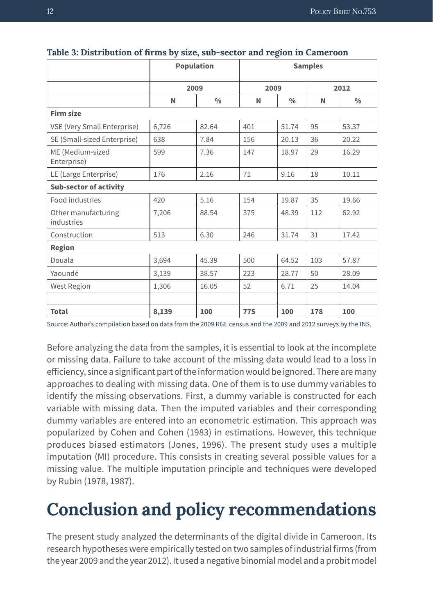|                                   | <b>Population</b> |               | <b>Samples</b> |               |      |               |  |  |
|-----------------------------------|-------------------|---------------|----------------|---------------|------|---------------|--|--|
|                                   | 2009              |               | 2009           |               | 2012 |               |  |  |
|                                   | N                 | $\frac{0}{0}$ | N              | $\frac{0}{0}$ | N    | $\frac{0}{0}$ |  |  |
| <b>Firm size</b>                  |                   |               |                |               |      |               |  |  |
| VSE (Very Small Enterprise)       | 6,726             | 82.64         | 401            | 51.74         | 95   | 53.37         |  |  |
| SE (Small-sized Enterprise)       | 638               | 7.84          | 156            | 20.13         | 36   | 20.22         |  |  |
| ME (Medium-sized<br>Enterprise)   | 599               | 7.36          | 147            | 18.97         | 29   | 16.29         |  |  |
| LE (Large Enterprise)             | 176               | 2.16          | 71             | 9.16          | 18   | 10.11         |  |  |
| <b>Sub-sector of activity</b>     |                   |               |                |               |      |               |  |  |
| Food industries                   | 420               | 5.16          | 154            | 19.87         | 35   | 19.66         |  |  |
| Other manufacturing<br>industries | 7,206             | 88.54         | 375            | 48.39         | 112  | 62.92         |  |  |
| Construction                      | 513               | 6.30          | 246            | 31.74         | 31   | 17.42         |  |  |
| <b>Region</b>                     |                   |               |                |               |      |               |  |  |
| Douala                            | 3,694             | 45.39         | 500            | 64.52         | 103  | 57.87         |  |  |
| Yaoundé                           | 3,139             | 38.57         | 223            | 28.77         | 50   | 28.09         |  |  |
| <b>West Region</b>                | 1,306             | 16.05         | 52             | 6.71          | 25   | 14.04         |  |  |
|                                   |                   |               |                |               |      |               |  |  |
| <b>Total</b>                      | 8,139             | 100           | 775            | 100           | 178  | 100           |  |  |

#### **Table 3: Distribution of firms by size, sub-sector and region in Cameroon**

Source: Author's compilation based on data from the 2009 RGE census and the 2009 and 2012 surveys by the INS.

Before analyzing the data from the samples, it is essential to look at the incomplete or missing data. Failure to take account of the missing data would lead to a loss in efficiency, since a significant part of the information would be ignored. There are many approaches to dealing with missing data. One of them is to use dummy variables to identify the missing observations. First, a dummy variable is constructed for each variable with missing data. Then the imputed variables and their corresponding dummy variables are entered into an econometric estimation. This approach was popularized by Cohen and Cohen (1983) in estimations. However, this technique produces biased estimators (Jones, 1996). The present study uses a multiple imputation (MI) procedure. This consists in creating several possible values for a missing value. The multiple imputation principle and techniques were developed by Rubin (1978, 1987).

# **Conclusion and policy recommendations**

The present study analyzed the determinants of the digital divide in Cameroon. Its research hypotheses were empirically tested on two samples of industrial firms (from the year 2009 and the year 2012). It used a negative binomial model and a probit model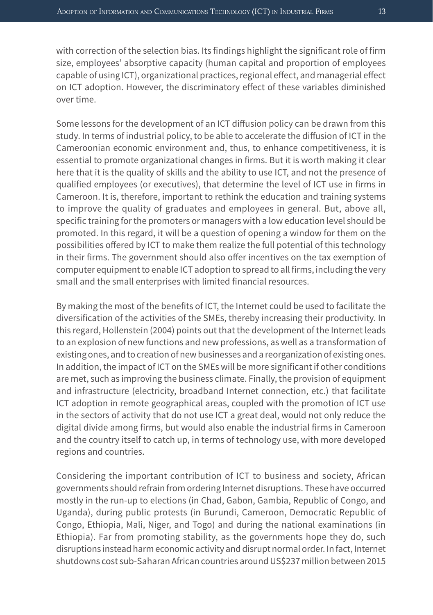with correction of the selection bias. Its findings highlight the significant role of firm size, employees' absorptive capacity (human capital and proportion of employees capable of using ICT), organizational practices, regional effect, and managerial effect on ICT adoption. However, the discriminatory effect of these variables diminished over time.

Some lessons for the development of an ICT diffusion policy can be drawn from this study. In terms of industrial policy, to be able to accelerate the diffusion of ICT in the Cameroonian economic environment and, thus, to enhance competitiveness, it is essential to promote organizational changes in firms. But it is worth making it clear here that it is the quality of skills and the ability to use ICT, and not the presence of qualified employees (or executives), that determine the level of ICT use in firms in Cameroon. It is, therefore, important to rethink the education and training systems to improve the quality of graduates and employees in general. But, above all, specific training for the promoters or managers with a low education level should be promoted. In this regard, it will be a question of opening a window for them on the possibilities offered by ICT to make them realize the full potential of this technology in their firms. The government should also offer incentives on the tax exemption of computer equipment to enable ICT adoption to spread to all firms, including the very small and the small enterprises with limited financial resources.

By making the most of the benefits of ICT, the Internet could be used to facilitate the diversification of the activities of the SMEs, thereby increasing their productivity. In this regard, Hollenstein (2004) points out that the development of the Internet leads to an explosion of new functions and new professions, as well as a transformation of existing ones, and to creation of new businesses and a reorganization of existing ones. In addition, the impact of ICT on the SMEs will be more significant if other conditions are met, such as improving the business climate. Finally, the provision of equipment and infrastructure (electricity, broadband Internet connection, etc.) that facilitate ICT adoption in remote geographical areas, coupled with the promotion of ICT use in the sectors of activity that do not use ICT a great deal, would not only reduce the digital divide among firms, but would also enable the industrial firms in Cameroon and the country itself to catch up, in terms of technology use, with more developed regions and countries.

Considering the important contribution of ICT to business and society, African governments should refrain from ordering Internet disruptions. These have occurred mostly in the run-up to elections (in Chad, Gabon, Gambia, Republic of Congo, and Uganda), during public protests (in Burundi, Cameroon, Democratic Republic of Congo, Ethiopia, Mali, Niger, and Togo) and during the national examinations (in Ethiopia). Far from promoting stability, as the governments hope they do, such disruptions instead harm economic activity and disrupt normal order. In fact, Internet shutdowns cost sub-Saharan African countries around US\$237 million between 2015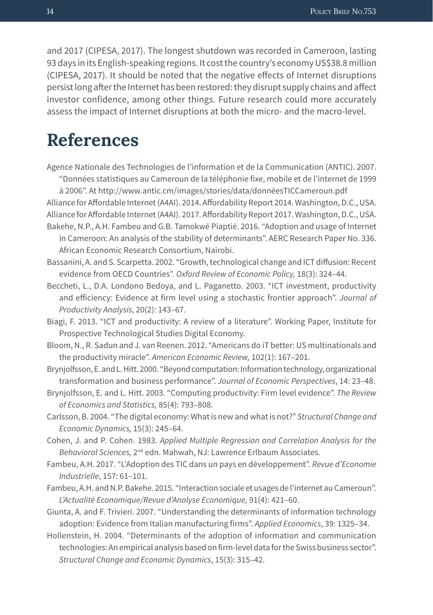and 2017 (CIPESA, 2017). The longest shutdown was recorded in Cameroon, lasting 93 days in its English-speaking regions. It cost the country's economy US\$38.8 million (CIPESA, 2017). It should be noted that the negative effects of Internet disruptions persist long after the Internet has been restored: they disrupt supply chains and affect investor confidence, among other things. Future research could more accurately assess the impact of Internet disruptions at both the micro- and the macro-level.

### **References**

Agence Nationale des Technologies de l'information et de la Communication (ANTIC). 2007.

"Données statistiques au Cameroun de la téléphonie fixe, mobile et de l'internet de 1999 à 2006". At http://www.antic.cm/images/stories/data/donnéesTICCameroun.pdf

Alliance for Affordable Internet (A4AI). 2014. Affordability Report 2014. Washington, D.C., USA. Alliance for Affordable Internet (A4AI). 2017. Affordability Report 2017. Washington, D.C., USA.

- Bakehe, N.P., A.H. Fambeu and G.B. Tamokwé Piaptié. 2016. "Adoption and usage of Internet in Cameroon: An analysis of the stability of determinants". AERC Research Paper No. 336. African Economic Research Consortium, Nairobi.
- Bassanini, A. and S. Scarpetta. 2002. "Growth, technological change and ICT diffusion: Recent evidence from OECD Countries". *Oxford Review of Economic Policy,* 18(3): 324–44.
- Beccheti, L., D.A. Londono Bedoya, and L. Paganetto. 2003. "ICT investment, productivity and efficiency: Evidence at firm level using a stochastic frontier approach". *Journal of Productivity Analysis*, 20(2): 143–67.
- Biagi, F. 2013. "ICT and productivity: A review of a literature". Working Paper, Institute for Prospective Technological Studies Digital Economy.
- Bloom, N., R. Sadun and J. van Reenen. 2012. "Americans do iT better: US multinationals and the productivity miracle". *American Economic Review,* 102(1): 167–201.
- Brynjolfsson, E. and L. Hitt. 2000. "Beyond computation: Information technology, organizational transformation and business performance". *Journal of Economic Perspectives*, 14: 23–48.
- Brynjolfsson, E. and L. Hitt. 2003. "Computing productivity: Firm level evidence". *The Review of Economics and Statistics,* 85(4): 793–808.
- Carlsson, B. 2004. "The digital economy: What is new and what is not?" *Structural Change and Economic Dynamics,* 15(3): 245–64.
- Cohen, J. and P. Cohen. 1983. *Applied Multiple Regression and Correlation Analysis for the Behavioral Sciences,* 2nd edn. Mahwah, NJ: Lawrence Erlbaum Associates.
- Fambeu, A.H. 2017. "L'Adoption des TIC dans un pays en développement". *Revue d'Economie Industrielle*, 157: 61–101.
- Fambeu, A.H. and N.P. Bakehe. 2015. "Interaction sociale et usages de l'internet au Cameroun". *L'Actualité Economique/Revue d'Analyse Economique,* 91(4): 421–60.
- Giunta, A. and F. Trivieri. 2007. "Understanding the determinants of information technology adoption: Evidence from Italian manufacturing firms". *Applied Economics*, 39: 1325–34.
- Hollenstein, H. 2004. "Determinants of the adoption of information and communication technologies: An empirical analysis based on firm-level data for the Swiss business sector". *Structural Change and Economic Dynamics*, 15(3): 315–42.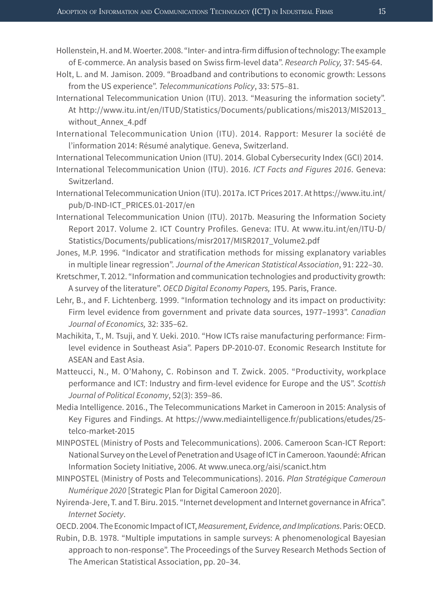- Hollenstein, H. and M. Woerter. 2008. "Inter- and intra-firm diffusion of technology: The example of E-commerce. An analysis based on Swiss firm-level data". *Research Policy,* 37: 545-64.
- Holt, L. and M. Jamison. 2009. "Broadband and contributions to economic growth: Lessons from the US experience". *Telecommunications Policy*, 33: 575–81.
- International Telecommunication Union (ITU). 2013. "Measuring the information society". At http://www.itu.int/en/ITUD/Statistics/Documents/publications/mis2013/MIS2013\_ without\_Annex\_4.pdf
- International Telecommunication Union (ITU). 2014. Rapport: Mesurer la société de l'information 2014: Résumé analytique. Geneva, Switzerland.
- International Telecommunication Union (ITU). 2014. Global Cybersecurity Index (GCI) 2014.
- International Telecommunication Union (ITU). 2016. *ICT Facts and Figures 2016*. Geneva: Switzerland.
- International Telecommunication Union (ITU). 2017a. ICT Prices 2017. At https://www.itu.int/ pub/D-IND-ICT\_PRICES.01-2017/en
- International Telecommunication Union (ITU). 2017b. Measuring the Information Society Report 2017. Volume 2. ICT Country Profiles. Geneva: ITU. At www.itu.int/en/ITU-D/ Statistics/Documents/publications/misr2017/MISR2017\_Volume2.pdf
- Jones, M.P. 1996. "Indicator and stratification methods for missing explanatory variables in multiple linear regression". *Journal of the American Statistical Association*, 91: 222–30.
- Kretschmer, T. 2012. "Information and communication technologies and productivity growth: A survey of the literature". *OECD Digital Economy Papers,* 195. Paris, France.
- Lehr, B., and F. Lichtenberg. 1999. "Information technology and its impact on productivity: Firm level evidence from government and private data sources, 1977–1993". *Canadian Journal of Economics,* 32: 335–62.
- Machikita, T., M. Tsuji, and Y. Ueki. 2010. "How ICTs raise manufacturing performance: Firmlevel evidence in Southeast Asia". Papers DP-2010-07. Economic Research Institute for ASEAN and East Asia.
- Matteucci, N., M. O'Mahony, C. Robinson and T. Zwick. 2005. "Productivity, workplace performance and ICT: Industry and firm-level evidence for Europe and the US". *Scottish Journal of Political Economy*, 52(3): 359–86.
- Media Intelligence. 2016., The Telecommunications Market in Cameroon in 2015: Analysis of Key Figures and Findings. At https://www.mediaintelligence.fr/publications/etudes/25 telco-market-2015
- MINPOSTEL (Ministry of Posts and Telecommunications). 2006. Cameroon Scan-ICT Report: National Survey on the Level of Penetration and Usage of ICT in Cameroon. Yaoundé: African Information Society Initiative, 2006. At www.uneca.org/aisi/scanict.htm
- MINPOSTEL (Ministry of Posts and Telecommunications). 2016. *Plan Stratégique Cameroun Numérique 2020* [Strategic Plan for Digital Cameroon 2020].
- Nyirenda-Jere, T. and T. Biru. 2015. "Internet development and Internet governance in Africa". *Internet Society*.
- OECD. 2004. The Economic Impact of ICT, *Measurement, Evidence, and Implications*. Paris: OECD.
- Rubin, D.B. 1978. "Multiple imputations in sample surveys: A phenomenological Bayesian approach to non-response". The Proceedings of the Survey Research Methods Section of The American Statistical Association, pp. 20–34.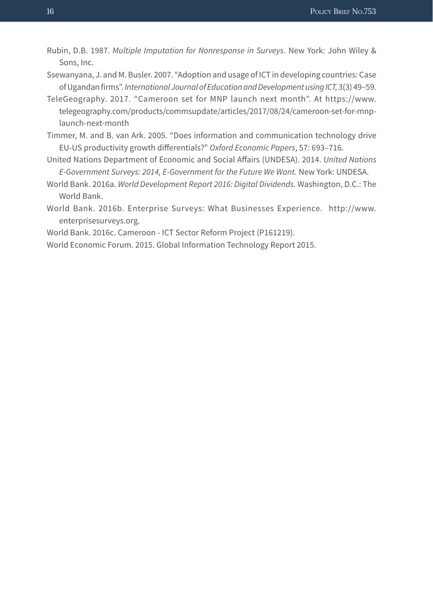- Rubin, D.B. 1987. *Multiple Imputation for Nonresponse in Surveys*. New York: John Wiley & Sons, Inc.
- Ssewanyana, J. and M. Busler. 2007. "Adoption and usage of ICT in developing countries: Case of Ugandan firms". *International Journal of Education and Development using ICT,* 3(3) 49–59.
- TeleGeography. 2017. "Cameroon set for MNP launch next month". At https://www. telegeography.com/products/commsupdate/articles/2017/08/24/cameroon-set-for-mnplaunch-next-month
- Timmer, M. and B. van Ark. 2005. "Does information and communication technology drive EU-US productivity growth differentials?" *Oxford Economic Papers*, 57: 693–716.
- United Nations Department of Economic and Social Affairs (UNDESA). 2014. *United Nations E-Government Surveys: 2014, E-Government for the Future We Want.* New York: UNDESA.
- World Bank. 2016a. *World Development Report 2016: Digital Dividends.* Washington, D.C.: The World Bank.
- World Bank. 2016b. Enterprise Surveys: What Businesses Experience. http://www. enterprisesurveys.org.
- World Bank. 2016c. Cameroon ICT Sector Reform Project (P161219).
- World Economic Forum. 2015. Global Information Technology Report 2015.